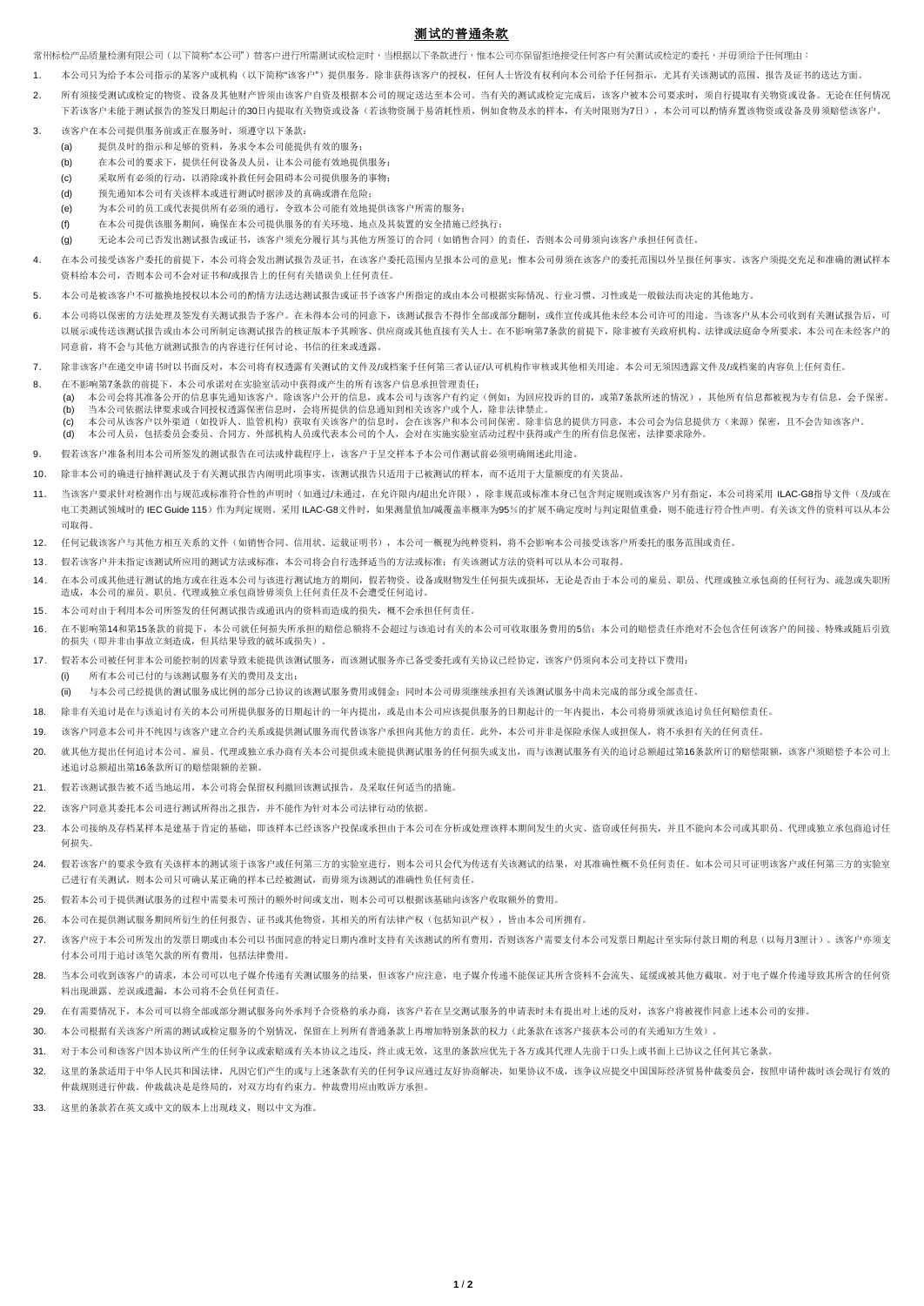## 测试的普通条款

常州标检产品质量检测有限公司(以下简称"本公司")替客户进行所需测试或检定时,当根据以下条款进行,惟本公司亦保留拒绝接受任何客户有关测试或检定的委托,并毋须给予任何理由:

- 1. 本公司只为给予本公司指示的某客户或机构(以下简称"该客户")提供服务。除非获得该客户的授权,任何人士皆没有权利向本公司给予任何指示,尤其有关该测试的范围、报告及证书的送达方面。
- 2. 所有须接受测试或检定的物资、设备及其他财产皆须由该客户自资及根据本公司的规定送达至本公司。当有关的测试或检定完成后,该客户被本公司要求时,须自行提取有关物资或设备。无论在任何情况 下若该客户未能于测试报告的文书用起计的30日内提取有关物资或设备(若该物资属于易消耗性质,例加食物及水的样本,有关时限则为7日),本公司可以酌情弃置该物资或设备及毋须赔偿该客户。
- 3. 该客户在本公司提供服务前或正在服务时,须遵守以下条款:
	- (a) 提供及时的指示和足够的资料,务求令本公司能提供有效的服务;
	- (b) 在本公司的要求下,提供任何设备及人员,让本公司能有效地提供服务;
	- (c) 采取所有必须的行动,以消除或补救任何会阻碍本公司提供服务的事物;
	- (d) 预先通知本公司有关该样本或进行测试时据涉及的真确或潜在危险;
	- (e) 为本公司的员工或代表提供所有必须的通行,令致本公司能有效地提供该客户所需的服务;
	- (f) 在本公司提供该服务期间,确保在本公司提供服务的有关环境、地点及其装置的安全措施已经执行;
	- (g) 无论本公司已否发出测试报告或证书,该客户须充分履行其与其他方所签订的合同(如销售合同)的责任,否则本公司毋须向该客户承担任何责任。
- 4. 在本公司接受该客户委托的前提下,本公司将会发出测试报告及证书,在该客户委托范围内呈报本公司的意见;惟本公司毋须在该客户的委托范围以外呈报任何事实。该客户须提交充足和准确的测试样本 资料给本公司,否则本公司不会对证书和/或报告上的任何有关错误负上任何责任。
- 5. 本公司是被该客户不可撤换地授权以本公司的酌情方法送达测试报告或证书予该客户所指定的或由本公司根据实际情况、行业习惯、习性或是一般做法而决定的其他地方。
- 6. 本公司将以保密的方法处理及签发有关测试报告予客户。在未得本公司的同意下,该测试报告不得作全部或部分翻制,或作宣传或其他未经本公司许可的用途。当该客户从本公司收到有关测试报告后,可 以展示或传送该测试报告或由本公司所制定该测试报告的核证版本予其顾客、供应商或其他直接有关人士。在不影响第7条款的前提下,除非被有关政府机构、法律或法庭命令所要求,本公司在未经客户的 同意前,将不会与其他方就测试报告的内容进行任何讨论、书信的往来或透露。
- 7. 除非该客户在递交申请书时以书面反对,本公司将有权透露有关测试的文件及/或档案予任何第三者认证/认可机构作审核或其他相关用途。本公司无须因透露文件及/或档案的内容负上任何责任。
- 8. 在不影响第7条款的前提下,本公司承诺对在实验室活动中获得或产生的所有该客户信息承担管理责任:
	- (a) 本公司会将其准备公开的信息事先通知该客户。除该客户公开的信息,或本公司与该客户有约定(例如:为回应投诉的目的,或第7条款所述的情况),其他所有信息都被视为专有信息,会予保密。 (b) 当本公司依据法律要求或合同授权透露保密信息时,会将所提供的信息通知到相关该客户或个人,除非法律禁止。
	- (c) 本公司从该客户以外渠道(如投诉人、监管机构)获取有关该客户的信息时,会在该客户和本公司间保密。除非信息的提供方同意,本公司会为信息提供方(来源)保密,且不会告知该客户。 (d) 本公司人员,包括委员会委员、合同方、外部机构人员或代表本公司的个人,会对在实施实验室活动过程中获得或产生的所有信息保密,法律要求除外。
- 9. 假若该客户准备利用本公司所签发的测试报告在司法或仲裁程序上,该客户于呈交样本予本公司作测试前必须明确阐述此用途。
- 10. 除非本公司的确进行抽样测试及于有关测试报告内阐明此项事实,该测试报告只适用于已被测试的样本,而不适用于大量额度的有关货品。
- 11. 当该客户要求针对检测作出与规范或标准符合性的声明时(如通过/未通过,在允许限内/超出允许限),除非规范或标准本身已包含判定规则或该客户另有指定,本公司将采用ILAC-G8指导文件(及/或在 由工类测试领域时的 IEC Guide 115)作为判定规则。采用 ILAC-G8文件时,加果测量值加/减覆盖率概率为95%的扩展不确定度时与判定限值重叠,则不能进行符合性声明。有关该文件的资料可以从本公 司取得。
- 12. 任何记载该客户与其他方相互关系的文件(如销售合同、信用状、运载证明书),本公司一概视为纯粹资料,将不会影响本公司接受该客户所委托的服务范围或责任。
- 13. 假若该客户并未指定该测试所应用的测试方法或标准,本公司将会自行选择适当的方法或标准;有关该测试方法的资料可以从本公司取得。
- 14. 在本公司或其他进行测试的地方或在往返本公司与该进行测试地方的期间,假若物资、设备或财物发生任何损失或损坏,无论是否由于本公司的雇员、职员、代理或独立承包商的任何行为、疏忽或失职所 造成,本公司的雇员、职员、代理或独立承包商皆毋须负上任何责任及不会遭受任何追讨。
- 15. 本公司对由于利用本公司所签发的任何测试报告或通讯内的资料而造成的损失,概不会承担任何责任。
- 16. 在不影响第14和第15条款的前提下,本公司就任何损失所承担的赔偿总额将不会超过与该追讨有关的本公司可收取服务费用的5倍;本公司的赔偿责任亦绝对不会包含任何该客户的间接、特殊或随后引致 的损失(即并非由事故立刻造成,但其结果导致的破坏或损失)
- 17. 假若本公司被任何非本公司能控制的因素导致未能提供该测试服务,而该测试服务亦已备受委托或有关协议已经协定,该客户仍须向本公司支持以下费用:
	- (i) 所有本公司已付的与该测试服务有关的费用及支出;
	- (ii) 与本公司已经提供的测试服务成比例的部分已协议的该测试服务费用或佣金;同时本公司毋须继续承担有关该测试服务中尚未完成的部分或全部责任。
- 18. 除非有关追讨是在与该追讨有关的本公司所提供服务的日期起计的一年内提出,或是由本公司应该提供服务的日期起计的一年内提出,本公司将毋须就该追讨负任何赔偿责任。
- 19. 该客户同意本公司并不纯因与该客户建立合约关系或提供测试服务而代替该客户承担向其他方的责任。此外,本公司并非是保险承保人或担保人,将不承担有关的任何责任。
- 20. 就其他方提出任何追讨本公司、雇员、代理或独立承办商有关本公司提供或未能提供测试服务的任何损失或支出,而与该测试服务有关的追讨总额超过第16条款所订的赔偿限额,该客户须赔偿予本公司上 述追讨总额超出第16条款所订的赔偿限额的差额。
- 21. 假若该测试报告被不适当地运用,本公司将会保留权利撤回该测试报告,及采取任何适当的措施。
- 22. 该客户同意其委托本公司进行测试所得出之报告,并不能作为针对本公司法律行动的依据。
- 23. 本公司接纳及存档某样本是建基于肯定的基础,即该样本已经该客户投保或承担由于本公司在分析或处理该样本期间发生的火灾、盗窃或任何损失,并且不能向本公司或其职员、代理或独立承包商追讨任 何损失。
- 24. 假若该客户的要求令致有关该样本的测试须于该客户或任何第三方的实验室进行,则本公司只会代为传送有关该测试的结果,对其准确性概不负任何责任。如本公司只可证明该客户或任何第三方的实验室 已进行有关测试,则本公司只可确认某正确的样本已经被测试,而毋须为该测试的准确性负任何责任。
- 25. 假若本公司于提供测试服务的过程中需要未可预计的额外时间或支出,则本公司可以根据该基础向该客户收取额外的费用。
- 26. 本公司在提供测试服务期间所衍生的任何报告、证书或其他物资,其相关的所有法律产权(包括知识产权),皆由本公司所拥有。
- 27. 该客户应于本公司所发出的发票日期或由本公司以书面同意的特定日期内准时支持有关该测试的所有费用,否则该客户需要支付本公司发票日期起计至实际付款日期的利息(以每月3厘计)。该客户亦须支 付本公司用于追讨该笔欠款的所有费用,包括法律费用。
- 28. 当本公司收到该客户的请求,本公司可以电子媒介传递有关测试服务的结果,但该客户应注意,电子媒介传递不能保证其所含资料不会流失、延缓或被其他方截取。对于电子媒介传递导致其所含的任何资 料出现泄露、差误或遗漏,本公司将不会负任何责任。
- 29. 在有需要情况下,本公司可以将全部或部分测试服务向外承判予合资格的承办商,该客户若在呈交测试服务的申请表时未有提出对上述的反对,该客户将被视作同意上述本公司的安排。
- 30. 本公司根据有关该客户所需的测试或检定服务的个别情况,保留在上列所有普通条款上再增加特别条款的权力(此条款在该客户接获本公司的有关通知方生效)。
- 31. 对于本公司和该客户因本协议所产生的任何争议或索赔或有关本协议之违反,终止或无效,这里的条款应优先于各方或其代理人先前于口头上或书面上已协议之任何其它条款。
- 32. 这里的条款适用于中华人民共和国法律,凡因它们产生的或与上述条款有关的任何争议应通过友好协商解决,如果协议不成,该争议应提交中国国际经济贸易仲裁委员会,按照申请仲裁时该会现行有效的 仲裁规则进行仲裁。仲裁裁决是是终局的,对双方均有约束力。仲裁费用应由败诉方承担。
- 33. 这里的条款若在英文或中文的版本上出现歧义,则以中文为准。